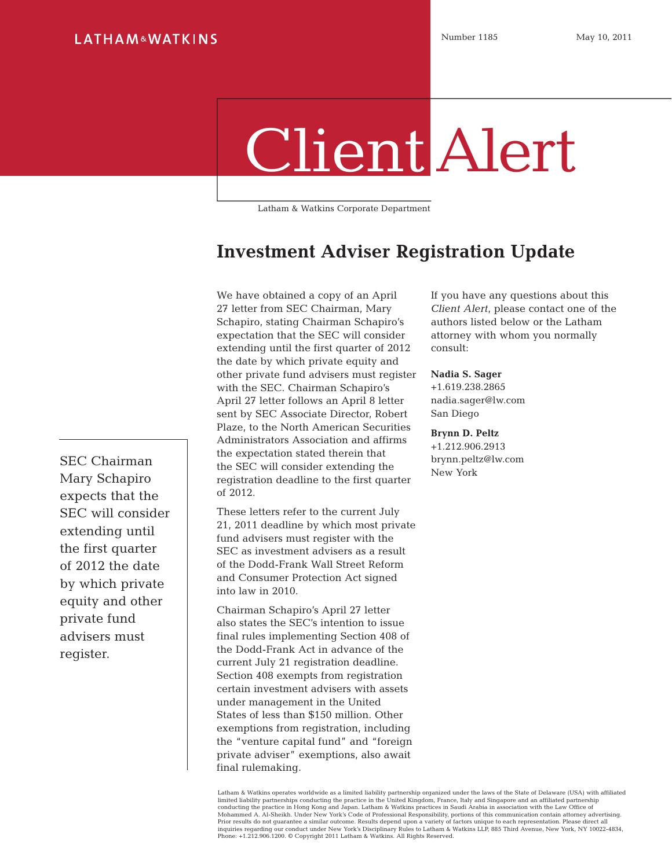## Client Alert

Latham & Watkins Corporate Department

## **Investment Adviser Registration Update**

We have obtained a copy of an April 27 letter from SEC Chairman, Mary Schapiro, stating Chairman Schapiro's expectation that the SEC will consider extending until the first quarter of 2012 the date by which private equity and other private fund advisers must register with the SEC. Chairman Schapiro's April 27 letter follows an April 8 letter sent by SEC Associate Director, Robert Plaze, to the North American Securities Administrators Association and affirms the expectation stated therein that the SEC will consider extending the registration deadline to the first quarter of 2012.

These letters refer to the current July 21, 2011 deadline by which most private fund advisers must register with the SEC as investment advisers as a result of the Dodd-Frank Wall Street Reform and Consumer Protection Act signed into law in 2010.

Chairman Schapiro's April 27 letter also states the SEC's intention to issue final rules implementing Section 408 of the Dodd-Frank Act in advance of the current July 21 registration deadline. Section 408 exempts from registration certain investment advisers with assets under management in the United States of less than \$150 million. Other exemptions from registration, including the "venture capital fund" and "foreign private adviser" exemptions, also await final rulemaking.

If you have any questions about this *Client Alert*, please contact one of the authors listed below or the Latham attorney with whom you normally consult:

## **Nadia S. Sager**

+1.619.238.2865 [nadia.sager@lw.com](mailto:nadia.sager%40lw.com?subject=) San Diego

**Brynn D. Peltz**

+1.212.906.2913 [brynn.peltz@lw.com](mailto:brynn.peltz%40lw.com?subject=) New York

SEC Chairman Mary Schapiro expects that the SEC will consider extending until the first quarter of 2012 the date by which private equity and other private fund advisers must register.

> Latham & Watkins operates worldwide as a limited liability partnership organized under the laws of the State of Delaware (USA) with affiliated limited liability partnerships conducting the practice in the United Kingdom, France, Italy and Singapore and an affiliated partnership<br>conducting the practice in Hong Kong and Japan. Latham & Watkins practices in Saudi Ar inquiries regarding our conduct under New York's Disciplinary Rules to Latham & Watkins LLP, 885 Third Avenue, New York, NY 10022-4834, Phone: +1.212.906.1200. © Copyright 2011 Latham & Watkins. All Rights Reserved.